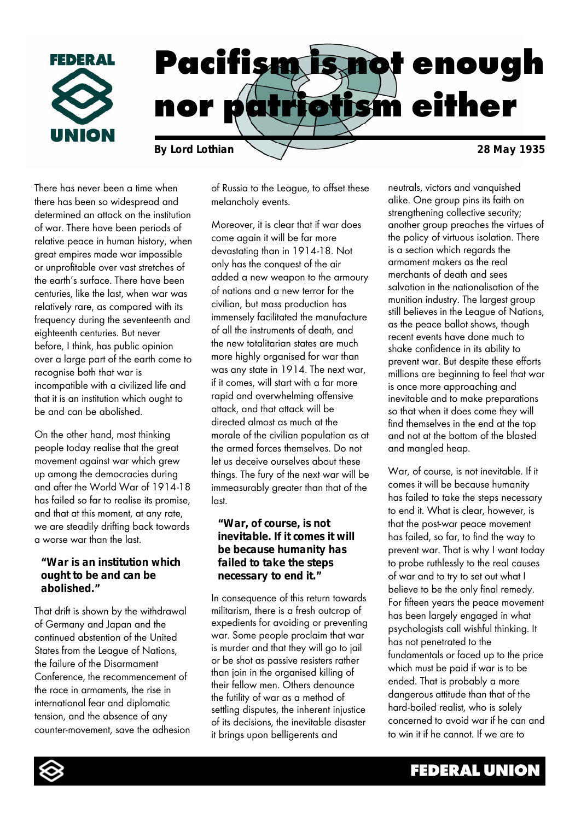

There has never been a time when there has been so widespread and determined an attack on the institution of war. There have been periods of relative peace in human history, when great empires made war impossible or unprofitable over vast stretches of the earth's surface. There have been centuries, like the last, when war was relatively rare, as compared with its frequency during the seventeenth and eighteenth centuries. But never before, I think, has public opinion over a large part of the earth come to recognise both that war is incompatible with a civilized life and that it is an institution which ought to be and can be abolished.

On the other hand, most thinking people today realise that the great movement against war which grew up among the democracies during and after the World War of 1914-18 has failed so far to realise its promise, and that at this moment, at any rate, we are steadily drifting back towards a worse war than the last.

#### *"War is an institution which ought to be and can be abolished."*

That drift is shown by the withdrawal of Germany and Japan and the continued abstention of the United States from the League of Nations, the failure of the Disarmament Conference, the recommencement of the race in armaments, the rise in international fear and diplomatic tension, and the absence of any counter-movement, save the adhesion of Russia to the League, to offset these melancholy events.

Moreover, it is clear that if war does come again it will be far more devastating than in 1914-18. Not only has the conquest of the air added a new weapon to the armoury of nations and a new terror for the civilian, but mass production has immensely facilitated the manufacture of all the instruments of death, and the new totalitarian states are much more highly organised for war than was any state in 1914. The next war, if it comes, will start with a far more rapid and overwhelming offensive attack, and that attack will be directed almost as much at the morale of the civilian population as at the armed forces themselves. Do not let us deceive ourselves about these things. The fury of the next war will be immeasurably greater than that of the last.

### *"War, of course, is not inevitable. If it comes it will be because humanity has failed to take the steps necessary to end it."*

In consequence of this return towards militarism, there is a fresh outcrop of expedients for avoiding or preventing war. Some people proclaim that war is murder and that they will go to jail or be shot as passive resisters rather than join in the organised killing of their fellow men. Others denounce the futility of war as a method of settling disputes, the inherent injustice of its decisions, the inevitable disaster it brings upon belligerents and

neutrals, victors and vanquished alike. One group pins its faith on strengthening collective security; another group preaches the virtues of the policy of virtuous isolation. There is a section which regards the armament makers as the real merchants of death and sees salvation in the nationalisation of the munition industry. The largest group still believes in the League of Nations, as the peace ballot shows, though recent events have done much to shake confidence in its ability to prevent war. But despite these efforts millions are beginning to feel that war is once more approaching and inevitable and to make preparations so that when it does come they will find themselves in the end at the top and not at the bottom of the blasted and mangled heap.

War, of course, is not inevitable. If it comes it will be because humanity has failed to take the steps necessary to end it. What is clear, however, is that the post-war peace movement has failed, so far, to find the way to prevent war. That is why I want today to probe ruthlessly to the real causes of war and to try to set out what I believe to be the only final remedy. For fifteen years the peace movement has been largely engaged in what psychologists call wishful thinking. It has not penetrated to the fundamentals or faced up to the price which must be paid if war is to be ended. That is probably a more dangerous attitude than that of the hard-boiled realist, who is solely concerned to avoid war if he can and to win it if he cannot. If we are to

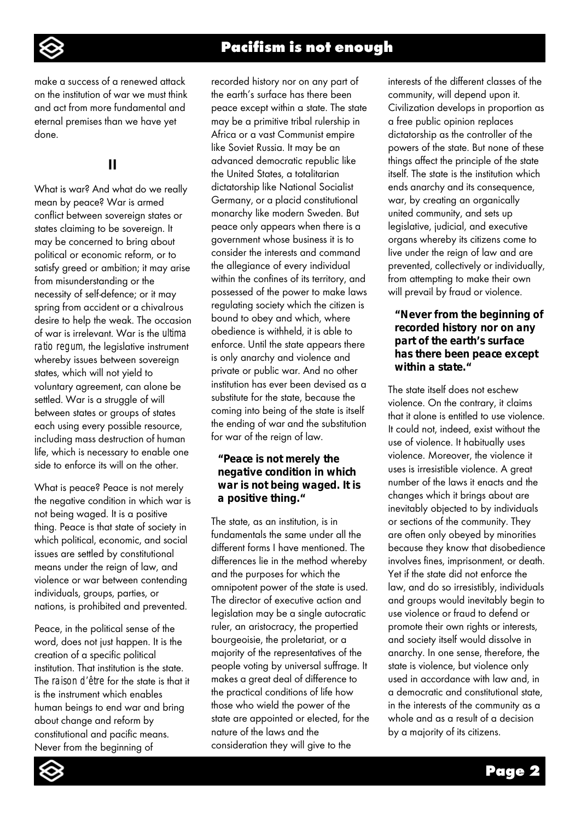

make a success of a renewed attack on the institution of war we must think and act from more fundamental and eternal premises than we have yet done.

# **II**

What is war? And what do we really mean by peace? War is armed conflict between sovereign states or states claiming to be sovereign. It may be concerned to bring about political or economic reform, or to satisfy greed or ambition; it may arise from misunderstanding or the necessity of self-defence; or it may spring from accident or a chivalrous desire to help the weak. The occasion of war is irrelevant. War is the *ultima ratio regum,* the legislative instrument whereby issues between sovereign states, which will not yield to voluntary agreement, can alone be settled. War is a struggle of will between states or groups of states each using every possible resource, including mass destruction of human life, which is necessary to enable one side to enforce its will on the other.

What is peace? Peace is not merely the negative condition in which war is not being waged. It is a positive thing. Peace is that state of society in which political, economic, and social issues are settled by constitutional means under the reign of law, and violence or war between contending individuals, groups, parties, or nations, is prohibited and prevented.

Peace, in the political sense of the word, does not just happen. It is the creation of a specific political institution. That institution is the state. The *raison d'être* for the state is that it is the instrument which enables human beings to end war and bring about change and reform by constitutional and pacific means. Never from the beginning of

recorded history nor on any part of the earth's surface has there been peace except within a state. The state may be a primitive tribal rulership in Africa or a vast Communist empire like Soviet Russia. It may be an advanced democratic republic like the United States, a totalitarian dictatorship like National Socialist Germany, or a placid constitutional monarchy like modern Sweden. But peace only appears when there is a government whose business it is to consider the interests and command the allegiance of every individual within the confines of its territory, and possessed of the power to make laws regulating society which the citizen is bound to obey and which, where obedience is withheld, it is able to enforce. Until the state appears there is only anarchy and violence and private or public war. And no other institution has ever been devised as a substitute for the state, because the coming into being of the state is itself the ending of war and the substitution for war of the reign of law.

## *"Peace is not merely the negative condition in which war is not being waged. It is a positive thing."*

The state, as an institution, is in fundamentals the same under all the different forms I have mentioned. The differences lie in the method whereby and the purposes for which the omnipotent power of the state is used. The director of executive action and legislation may be a single autocratic ruler, an aristocracy, the propertied bourgeoisie, the proletariat, or a majority of the representatives of the people voting by universal suffrage. It makes a great deal of difference to the practical conditions of life how those who wield the power of the state are appointed or elected, for the nature of the laws and the consideration they will give to the

interests of the different classes of the community, will depend upon it. Civilization develops in proportion as a free public opinion replaces dictatorship as the controller of the powers of the state. But none of these things affect the principle of the state itself. The state is the institution which ends anarchy and its consequence, war, by creating an organically united community, and sets up legislative, judicial, and executive organs whereby its citizens come to live under the reign of law and are prevented, collectively or individually, from attempting to make their own will prevail by fraud or violence.

### *"Never from the beginning of recorded history nor on any part of the earth's surface has there been peace except within a state."*

The state itself does not eschew violence. On the contrary, it claims that it alone is entitled to use violence. It could not, indeed, exist without the use of violence. It habitually uses violence. Moreover, the violence it uses is irresistible violence. A great number of the laws it enacts and the changes which it brings about are inevitably objected to by individuals or sections of the community. They are often only obeyed by minorities because they know that disobedience involves fines, imprisonment, or death. Yet if the state did not enforce the law, and do so irresistibly, individuals and groups would inevitably begin to use violence or fraud to defend or promote their own rights or interests, and society itself would dissolve in anarchy. In one sense, therefore, the state is violence, but violence only used in accordance with law and, in a democratic and constitutional state, in the interests of the community as a whole and as a result of a decision by a majority of its citizens.

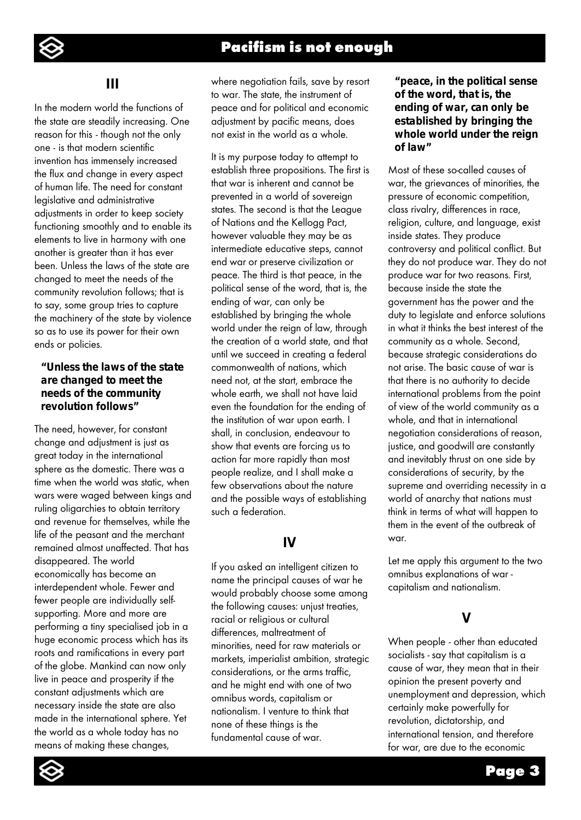

## **III**

In the modern world the functions of the state are steadily increasing. One reason for this - though not the only one - is that modern scientific invention has immensely increased the flux and change in every aspect of human life. The need for constant legislative and administrative adjustments in order to keep society functioning smoothly and to enable its elements to live in harmony with one another is greater than it has ever been. Unless the laws of the state are changed to meet the needs of the community revolution follows; that is to say, some group tries to capture the machinery of the state by violence so as to use its power for their own ends or policies.

#### *"Unless the laws of the state are changed to meet the needs of the community revolution follows"*

The need, however, for constant change and adjustment is just as great today in the international sphere as the domestic. There was a time when the world was static, when wars were waged between kings and ruling oligarchies to obtain territory and revenue for themselves, while the life of the peasant and the merchant remained almost unaffected. That has disappeared. The world economically has become an interdependent whole. Fewer and fewer people are individually selfsupporting. More and more are performing a tiny specialised job in a huge economic process which has its roots and ramifications in every part of the globe. Mankind can now only live in peace and prosperity if the constant adjustments which are necessary inside the state are also made in the international sphere. Yet the world as a whole today has no means of making these changes,

where negotiation fails, save by resort to war. The state, the instrument of peace and for political and economic adjustment by pacific means, does not exist in the world as a whole.

It is my purpose today to attempt to establish three propositions. The first is that war is inherent and cannot be prevented in a world of sovereign states. The second is that the League of Nations and the Kellogg Pact, however valuable they may be as intermediate educative steps, cannot end war or preserve civilization or peace. The third is that peace, in the political sense of the word, that is, the ending of war, can only be established by bringing the whole world under the reign of law, through the creation of a world state, and that until we succeed in creating a federal commonwealth of nations, which need not, at the start, embrace the whole earth, we shall not have laid even the foundation for the ending of the institution of war upon earth. I shall, in conclusion, endeavour to show that events are forcing us to action far more rapidly than most people realize, and I shall make a few observations about the nature and the possible ways of establishing such a federation.

# **IV**

If you asked an intelligent citizen to name the principal causes of war he would probably choose some among the following causes: unjust treaties, racial or religious or cultural differences, maltreatment of minorities, need for raw materials or markets, imperialist ambition, strategic considerations, or the arms traffic, and he might end with one of two omnibus words, capitalism or nationalism. I venture to think that none of these things is the fundamental cause of war.

### *"peace, in the political sense of the word, that is, the ending of war, can only be established by bringing the whole world under the reign of law"*

Most of these so-called causes of war, the grievances of minorities, the pressure of economic competition, class rivalry, differences in race, religion, culture, and language, exist inside states. They produce controversy and political conflict. But they do not produce war. They do not produce war for two reasons. First, because inside the state the government has the power and the duty to legislate and enforce solutions in what it thinks the best interest of the community as a whole. Second, because strategic considerations do not arise. The basic cause of war is that there is no authority to decide international problems from the point of view of the world community as a whole, and that in international negotiation considerations of reason, justice, and goodwill are constantly and inevitably thrust on one side by considerations of security, by the supreme and overriding necessity in a world of anarchy that nations must think in terms of what will happen to them in the event of the outbreak of war.

Let me apply this argument to the two omnibus explanations of war capitalism and nationalism.

# **V**

When people - other than educated socialists - say that capitalism is a cause of war, they mean that in their opinion the present poverty and unemployment and depression, which certainly make powerfully for revolution, dictatorship, and international tension, and therefore for war, are due to the economic

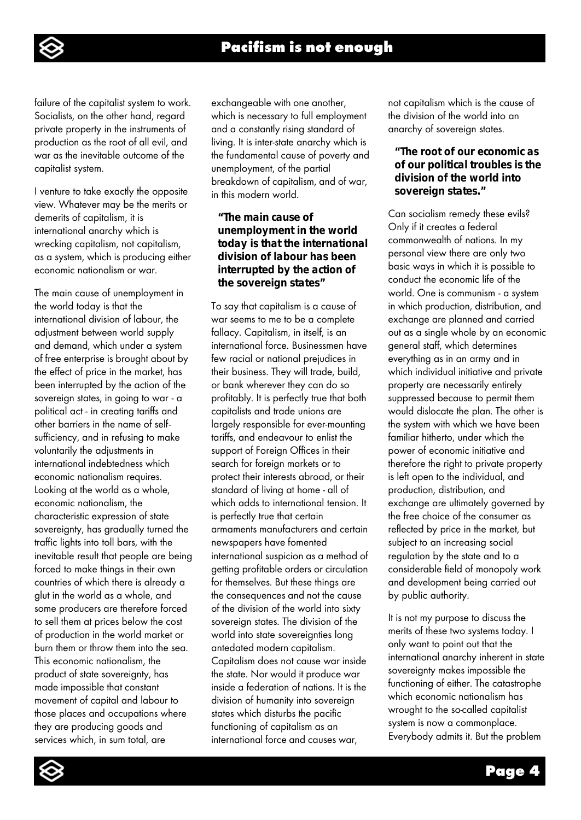failure of the capitalist system to work. Socialists, on the other hand, regard private property in the instruments of production as the root of all evil, and war as the inevitable outcome of the capitalist system.

I venture to take exactly the opposite view. Whatever may be the merits or demerits of capitalism, it is international anarchy which is wrecking capitalism, not capitalism, as a system, which is producing either economic nationalism or war.

The main cause of unemployment in the world today is that the international division of labour, the adjustment between world supply and demand, which under a system of free enterprise is brought about by the effect of price in the market, has been interrupted by the action of the sovereign states, in going to war - a political act - in creating tariffs and other barriers in the name of selfsufficiency, and in refusing to make voluntarily the adjustments in international indebtedness which economic nationalism requires. Looking at the world as a whole, economic nationalism, the characteristic expression of state sovereignty, has gradually turned the traffic lights into toll bars, with the inevitable result that people are being forced to make things in their own countries of which there is already a glut in the world as a whole, and some producers are therefore forced to sell them at prices below the cost of production in the world market or burn them or throw them into the sea. This economic nationalism, the product of state sovereignty, has made impossible that constant movement of capital and labour to those places and occupations where they are producing goods and services which, in sum total, are

exchangeable with one another, which is necessary to full employment and a constantly rising standard of living. It is inter-state anarchy which is the fundamental cause of poverty and unemployment, of the partial breakdown of capitalism, and of war, in this modern world.

## *"The main cause of unemployment in the world today is that the international division of labour has been interrupted by the action of the sovereign states"*

To say that capitalism is a cause of war seems to me to be a complete fallacy. Capitalism, in itself, is an international force. Businessmen have few racial or national prejudices in their business. They will trade, build, or bank wherever they can do so profitably. It is perfectly true that both capitalists and trade unions are largely responsible for ever-mounting tariffs, and endeavour to enlist the support of Foreign Offices in their search for foreign markets or to protect their interests abroad, or their standard of living at home - all of which adds to international tension. It is perfectly true that certain armaments manufacturers and certain newspapers have fomented international suspicion as a method of getting profitable orders or circulation for themselves. But these things are the consequences and not the cause of the division of the world into sixty sovereign states. The division of the world into state sovereignties long antedated modern capitalism. Capitalism does not cause war inside the state. Nor would it produce war inside a federation of nations. It is the division of humanity into sovereign states which disturbs the pacific functioning of capitalism as an international force and causes war,

not capitalism which is the cause of the division of the world into an anarchy of sovereign states.

### *"The root of our economic as of our political troubles is the division of the world into sovereign states."*

Can socialism remedy these evils? Only if it creates a federal commonwealth of nations. In my personal view there are only two basic ways in which it is possible to conduct the economic life of the world. One is communism - a system in which production, distribution, and exchange are planned and carried out as a single whole by an economic general staff, which determines everything as in an army and in which individual initiative and private property are necessarily entirely suppressed because to permit them would dislocate the plan. The other is the system with which we have been familiar hitherto, under which the power of economic initiative and therefore the right to private property is left open to the individual, and production, distribution, and exchange are ultimately governed by the free choice of the consumer as reflected by price in the market, but subject to an increasing social regulation by the state and to a considerable field of monopoly work and development being carried out by public authority.

It is not my purpose to discuss the merits of these two systems today. I only want to point out that the international anarchy inherent in state sovereignty makes impossible the functioning of either. The catastrophe which economic nationalism has wrought to the so-called capitalist system is now a commonplace. Everybody admits it. But the problem



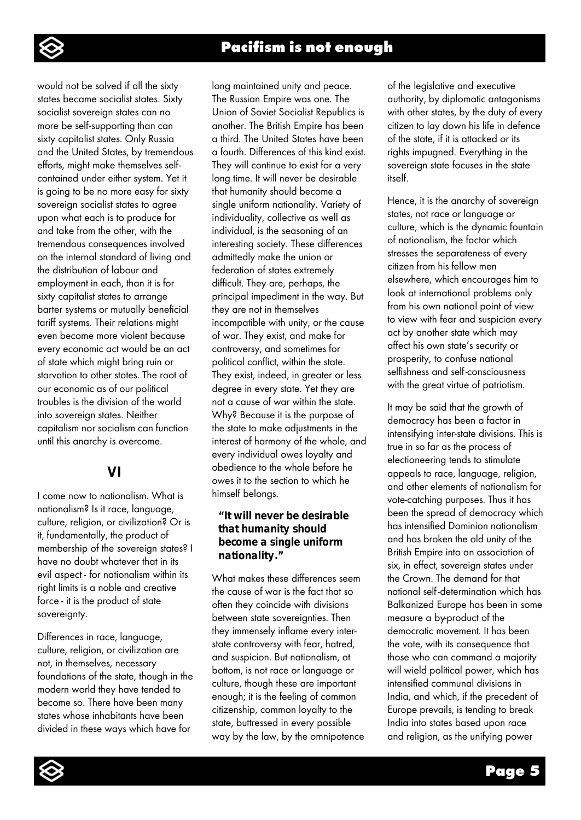

would not be solved if all the sixty states became socialist states. Sixty socialist sovereign states can no more be self-supporting than can sixty capitalist states. Only Russia and the United States, by tremendous efforts, might make themselves selfcontained under either system. Yet it is going to be no more easy for sixty sovereign socialist states to agree upon what each is to produce for and take from the other, with the tremendous consequences involved on the internal standard of living and the distribution of labour and employment in each, than it is for sixty capitalist states to arrange barter systems or mutually beneficial tariff systems. Their relations might even become more violent because every economic act would be an act of state which might bring ruin or starvation to other states. The root of our economic as of our political troubles is the division of the world into sovereign states. Neither capitalism nor socialism can function until this anarchy is overcome.

# **VI**

I come now to nationalism. What is nationalism? Is it race, language, culture, religion, or civilization? Or is it, fundamentally, the product of membership of the sovereign states? I have no doubt whatever that in its evil aspect - for nationalism within its right limits is a noble and creative force - it is the product of state sovereignty.

Differences in race, language, culture, religion, or civilization are not, in themselves, necessary foundations of the state, though in the modern world they have tended to become so. There have been many states whose inhabitants have been divided in these ways which have for

long maintained unity and peace. The Russian Empire was one. The Union of Soviet Socialist Republics is another. The British Empire has been a third. The United States have been a fourth. Differences of this kind exist. They will continue to exist for a very long time. It will never be desirable that humanity should become a single uniform nationality. Variety of individuality, collective as well as individual, is the seasoning of an interesting society. These differences admittedly make the union or federation of states extremely difficult. They are, perhaps, the principal impediment in the way. But they are not in themselves incompatible with unity, or the cause of war. They exist, and make for controversy, and sometimes for political conflict, within the state. They exist, indeed, in greater or less degree in every state. Yet they are not a cause of war within the state. Why? Because it is the purpose of the state to make adjustments in the interest of harmony of the whole, and every individual owes loyalty and obedience to the whole before he owes it to the section to which he himself belongs.

## *"It will never be desirable that humanity should become a single uniform nationality."*

What makes these differences seem the cause of war is the fact that so often they coincide with divisions between state sovereignties. Then they immensely inflame every interstate controversy with fear, hatred, and suspicion. But nationalism, at bottom, is not race or language or culture, though these are important enough; it is the feeling of common citizenship, common loyalty to the state, buttressed in every possible way by the law, by the omnipotence of the legislative and executive authority, by diplomatic antagonisms with other states, by the duty of every citizen to lay down his life in defence of the state, if it is attacked or its rights impugned. Everything in the sovereign state focuses in the state itself.

Hence, it is the anarchy of sovereign states, not race or language or culture, which is the dynamic fountain of nationalism, the factor which stresses the separateness of every citizen from his fellow men elsewhere, which encourages him to look at international problems only from his own national point of view to view with fear and suspicion every act by another state which may affect his own state's security or prosperity, to confuse national selfishness and self-consciousness with the great virtue of patriotism.

It may be said that the growth of democracy has been a factor in intensifying inter-state divisions. This is true in so far as the process of electioneering tends to stimulate appeals to race, language, religion, and other elements of nationalism for vote-catching purposes. Thus it has been the spread of democracy which has intensified Dominion nationalism and has broken the old unity of the British Empire into an association of six, in effect, sovereign states under the Crown. The demand for that national self-determination which has Balkanized Europe has been in some measure a by-product of the democratic movement. It has been the vote, with its consequence that those who can command a majority will wield political power, which has intensified communal divisions in India, and which, if the precedent of Europe prevails, is tending to break India into states based upon race and religion, as the unifying power

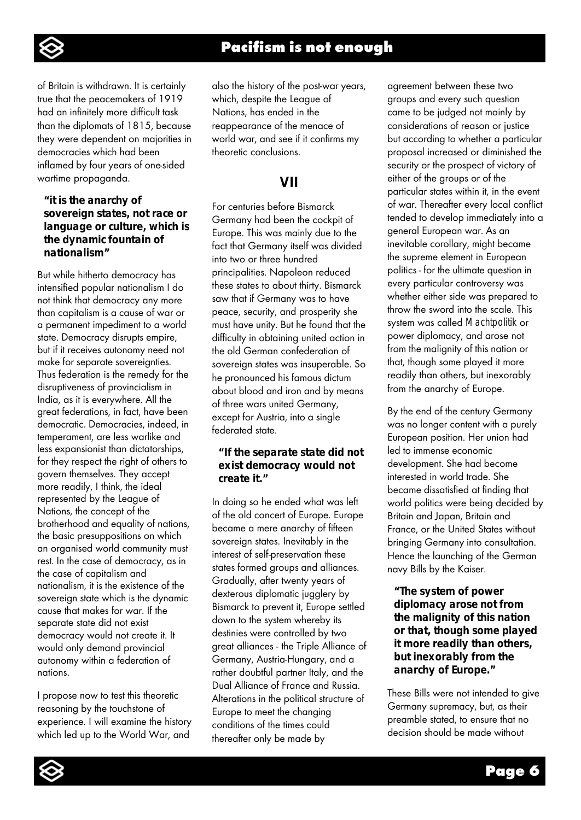

of Britain is withdrawn. It is certainly true that the peacemakers of 1919 had an infinitely more difficult task than the diplomats of 1815, because they were dependent on majorities in democracies which had been inflamed by four years of one-sided wartime propaganda.

#### *"it is the anarchy of sovereign states, not race or language or culture, which is the dynamic fountain of nationalism"*

But while hitherto democracy has intensified popular nationalism I do not think that democracy any more than capitalism is a cause of war or a permanent impediment to a world state. Democracy disrupts empire, but if it receives autonomy need not make for separate sovereignties. Thus federation is the remedy for the disruptiveness of provincialism in India, as it is everywhere. All the great federations, in fact, have been democratic. Democracies, indeed, in temperament, are less warlike and less expansionist than dictatorships, for they respect the right of others to govern themselves. They accept more readily, I think, the ideal represented by the League of Nations, the concept of the brotherhood and equality of nations, the basic presuppositions on which an organised world community must rest. In the case of democracy, as in the case of capitalism and nationalism, it is the existence of the sovereign state which is the dynamic cause that makes for war. If the separate state did not exist democracy would not create it. It would only demand provincial autonomy within a federation of nations.

I propose now to test this theoretic reasoning by the touchstone of experience. I will examine the history which led up to the World War, and

also the history of the post-war years, which, despite the League of Nations, has ended in the reappearance of the menace of world war, and see if it confirms my theoretic conclusions.

# **VII**

For centuries before Bismarck Germany had been the cockpit of Europe. This was mainly due to the fact that Germany itself was divided into two or three hundred principalities. Napoleon reduced these states to about thirty. Bismarck saw that if Germany was to have peace, security, and prosperity she must have unity. But he found that the difficulty in obtaining united action in the old German confederation of sovereign states was insuperable. So he pronounced his famous dictum about blood and iron and by means of three wars united Germany, except for Austria, into a single federated state.

## *"If the separate state did not exist democracy would not create it."*

In doing so he ended what was left of the old concert of Europe. Europe became a mere anarchy of fifteen sovereign states. Inevitably in the interest of self-preservation these states formed groups and alliances. Gradually, after twenty years of dexterous diplomatic jugglery by Bismarck to prevent it, Europe settled down to the system whereby its destinies were controlled by two great alliances - the Triple Alliance of Germany, Austria-Hungary, and a rather doubtful partner Italy, and the Dual Alliance of France and Russia. Alterations in the political structure of Europe to meet the changing conditions of the times could thereafter only be made by

agreement between these two groups and every such question came to be judged not mainly by considerations of reason or justice but according to whether a particular proposal increased or diminished the security or the prospect of victory of either of the groups or of the particular states within it, in the event of war. Thereafter every local conflict tended to develop immediately into a general European war. As an inevitable corollary, might became the supreme element in European politics - for the ultimate question in every particular controversy was whether either side was prepared to throw the sword into the scale. This system was called *Machtpolitik* or power diplomacy, and arose not from the malignity of this nation or that, though some played it more readily than others, but inexorably from the anarchy of Europe.

By the end of the century Germany was no longer content with a purely European position. Her union had led to immense economic development. She had become interested in world trade. She became dissatisfied at finding that world politics were being decided by Britain and Japan, Britain and France, or the United States without bringing Germany into consultation. Hence the launching of the German navy Bills by the Kaiser.

*"The system of power diplomacy arose not from the malignity of this nation or that, though some played it more readily than others, but inexorably from the anarchy of Europe."*

These Bills were not intended to give Germany supremacy, but, as their preamble stated, to ensure that no decision should be made without

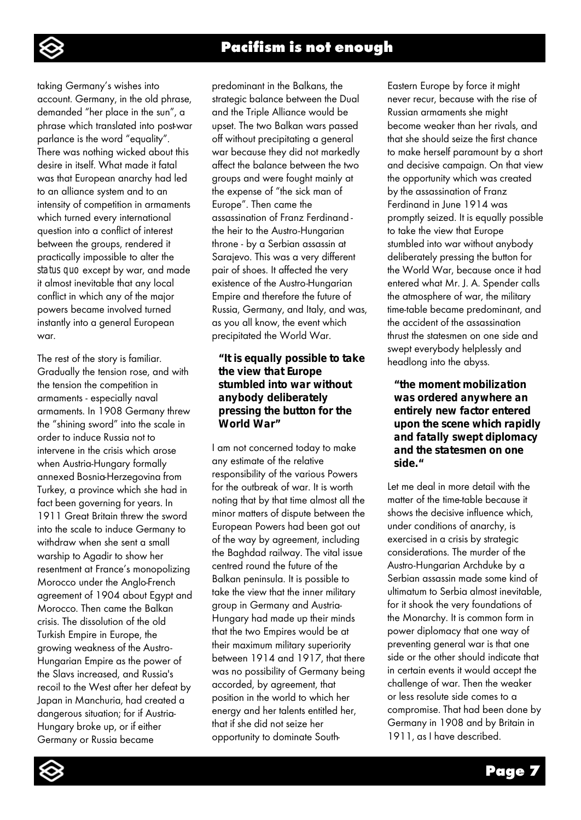

taking Germany's wishes into account. Germany, in the old phrase, demanded "her place in the sun", a phrase which translated into post-war parlance is the word "equality". There was nothing wicked about this desire in itself. What made it fatal was that European anarchy had led to an alliance system and to an intensity of competition in armaments which turned every international question into a conflict of interest between the groups, rendered it practically impossible to alter the *status quo* except by war, and made it almost inevitable that any local conflict in which any of the major powers became involved turned instantly into a general European war.

The rest of the story is familiar. Gradually the tension rose, and with the tension the competition in armaments - especially naval armaments. In 1908 Germany threw the "shining sword" into the scale in order to induce Russia not to intervene in the crisis which arose when Austria-Hungary formally annexed Bosnia-Herzegovina from Turkey, a province which she had in fact been governing for years. In 1911 Great Britain threw the sword into the scale to induce Germany to withdraw when she sent a small warship to Agadir to show her resentment at France's monopolizing Morocco under the Anglo-French agreement of 1904 about Egypt and Morocco. Then came the Balkan crisis. The dissolution of the old Turkish Empire in Europe, the growing weakness of the Austro-Hungarian Empire as the power of the Slavs increased, and Russia's recoil to the West after her defeat by Japan in Manchuria, had created a dangerous situation; for if Austria-Hungary broke up, or if either Germany or Russia became

predominant in the Balkans, the strategic balance between the Dual and the Triple Alliance would be upset. The two Balkan wars passed off without precipitating a general war because they did not markedly affect the balance between the two groups and were fought mainly at the expense of "the sick man of Europe". Then came the assassination of Franz Ferdinand the heir to the Austro-Hungarian throne - by a Serbian assassin at Sarajevo. This was a very different pair of shoes. It affected the very existence of the Austro-Hungarian Empire and therefore the future of Russia, Germany, and Italy, and was, as you all know, the event which precipitated the World War.

#### *"It is equally possible to take the view that Europe stumbled into war without anybody deliberately pressing the button for the World War"*

I am not concerned today to make any estimate of the relative responsibility of the various Powers for the outbreak of war. It is worth noting that by that time almost all the minor matters of dispute between the European Powers had been got out of the way by agreement, including the Baghdad railway. The vital issue centred round the future of the Balkan peninsula. It is possible to take the view that the inner military group in Germany and Austria-Hungary had made up their minds that the two Empires would be at their maximum military superiority between 1914 and 1917, that there was no possibility of Germany being accorded, by agreement, that position in the world to which her energy and her talents entitled her, that if she did not seize her opportunity to dominate SouthEastern Europe by force it might never recur, because with the rise of Russian armaments she might become weaker than her rivals, and that she should seize the first chance to make herself paramount by a short and decisive campaign. On that view the opportunity which was created by the assassination of Franz Ferdinand in June 1914 was promptly seized. It is equally possible to take the view that Europe stumbled into war without anybody deliberately pressing the button for the World War, because once it had entered what Mr. J. A. Spender calls the atmosphere of war, the military time-table became predominant, and the accident of the assassination thrust the statesmen on one side and swept everybody helplessly and headlong into the abyss.

#### *"the moment mobilization was ordered anywhere an entirely new factor entered upon the scene which rapidly and fatally swept diplomacy and the statesmen on one side."*

Let me deal in more detail with the matter of the time-table because it shows the decisive influence which, under conditions of anarchy, is exercised in a crisis by strategic considerations. The murder of the Austro-Hungarian Archduke by a Serbian assassin made some kind of ultimatum to Serbia almost inevitable, for it shook the very foundations of the Monarchy. It is common form in power diplomacy that one way of preventing general war is that one side or the other should indicate that in certain events it would accept the challenge of war. Then the weaker or less resolute side comes to a compromise. That had been done by Germany in 1908 and by Britain in 1911, as I have described.

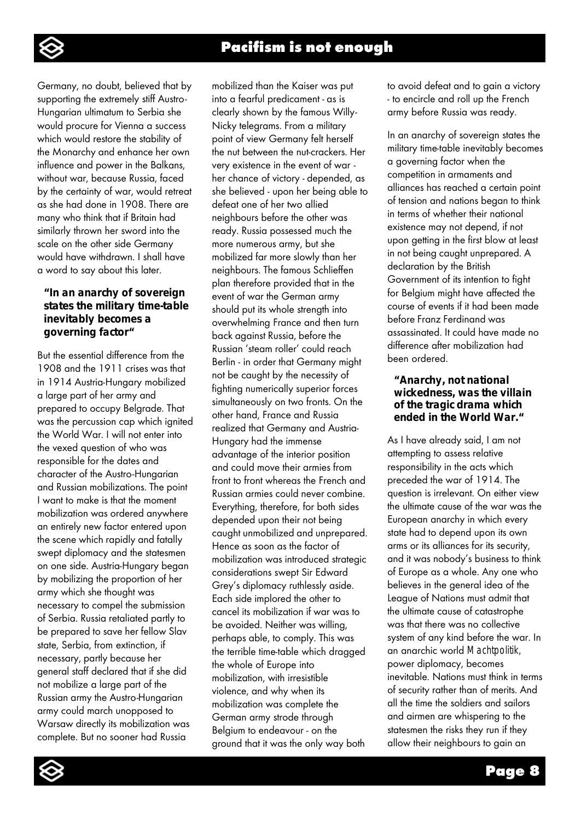

Germany, no doubt, believed that by supporting the extremely stiff Austro-Hungarian ultimatum to Serbia she would procure for Vienna a success which would restore the stability of the Monarchy and enhance her own influence and power in the Balkans, without war, because Russia, faced by the certainty of war, would retreat as she had done in 1908. There are many who think that if Britain had similarly thrown her sword into the scale on the other side Germany would have withdrawn. I shall have a word to say about this later.

### *"In an anarchy of sovereign states the military time-table inevitably becomes a governing factor"*

But the essential difference from the 1908 and the 1911 crises was that in 1914 Austria-Hungary mobilized a large part of her army and prepared to occupy Belgrade. That was the percussion cap which ignited the World War. I will not enter into the vexed question of who was responsible for the dates and character of the Austro-Hungarian and Russian mobilizations. The point I want to make is that the moment mobilization was ordered anywhere an entirely new factor entered upon the scene which rapidly and fatally swept diplomacy and the statesmen on one side. Austria-Hungary began by mobilizing the proportion of her army which she thought was necessary to compel the submission of Serbia. Russia retaliated partly to be prepared to save her fellow Slav state, Serbia, from extinction, if necessary, partly because her general staff declared that if she did not mobilize a large part of the Russian army the Austro-Hungarian army could march unopposed to Warsaw directly its mobilization was complete. But no sooner had Russia

mobilized than the Kaiser was put into a fearful predicament - as is clearly shown by the famous Willy-Nicky telegrams. From a military point of view Germany felt herself the nut between the nut-crackers. Her very existence in the event of war her chance of victory - depended, as she believed - upon her being able to defeat one of her two allied neighbours before the other was ready. Russia possessed much the more numerous army, but she mobilized far more slowly than her neighbours. The famous Schlieffen plan therefore provided that in the event of war the German army should put its whole strength into overwhelming France and then turn back against Russia, before the Russian 'steam roller' could reach Berlin - in order that Germany might not be caught by the necessity of fighting numerically superior forces simultaneously on two fronts. On the other hand, France and Russia realized that Germany and Austria-Hungary had the immense advantage of the interior position and could move their armies from front to front whereas the French and Russian armies could never combine. Everything, therefore, for both sides depended upon their not being caught unmobilized and unprepared. Hence as soon as the factor of mobilization was introduced strategic considerations swept Sir Edward Grey's diplomacy ruthlessly aside. Each side implored the other to cancel its mobilization if war was to be avoided. Neither was willing, perhaps able, to comply. This was the terrible time-table which dragged the whole of Europe into mobilization, with irresistible violence, and why when its mobilization was complete the German army strode through Belgium to endeavour - on the ground that it was the only way both

to avoid defeat and to gain a victory - to encircle and roll up the French army before Russia was ready.

In an anarchy of sovereign states the military time-table inevitably becomes a governing factor when the competition in armaments and alliances has reached a certain point of tension and nations began to think in terms of whether their national existence may not depend, if not upon getting in the first blow at least in not being caught unprepared. A declaration by the British Government of its intention to fight for Belgium might have affected the course of events if it had been made before Franz Ferdinand was assassinated. It could have made no difference after mobilization had been ordered.

#### *"Anarchy, not national wickedness, was the villain of the tragic drama which ended in the World War."*

As I have already said, I am not attempting to assess relative responsibility in the acts which preceded the war of 1914. The question is irrelevant. On either view the ultimate cause of the war was the European anarchy in which every state had to depend upon its own arms or its alliances for its security, and it was nobody's business to think of Europe as a whole. Any one who believes in the general idea of the League of Nations must admit that the ultimate cause of catastrophe was that there was no collective system of any kind before the war. In an anarchic world *Machtpolitik,*  power diplomacy, becomes inevitable. Nations must think in terms of security rather than of merits. And all the time the soldiers and sailors and airmen are whispering to the statesmen the risks they run if they allow their neighbours to gain an

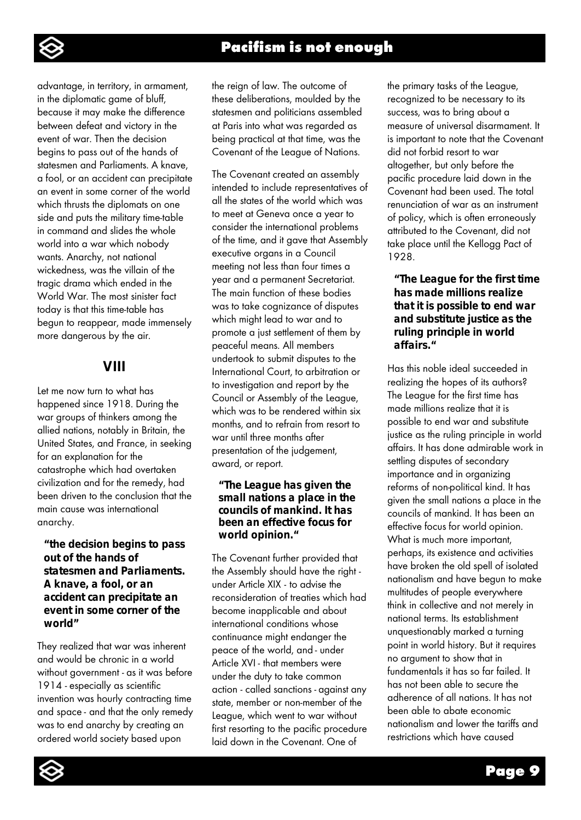

advantage, in territory, in armament, in the diplomatic game of bluff, because it may make the difference between defeat and victory in the event of war. Then the decision begins to pass out of the hands of statesmen and Parliaments. A knave, a fool, or an accident can precipitate an event in some corner of the world which thrusts the diplomats on one side and puts the military time-table in command and slides the whole world into a war which nobody wants. Anarchy, not national wickedness, was the villain of the tragic drama which ended in the World War. The most sinister fact today is that this time-table has begun to reappear, made immensely more dangerous by the air.

# **VIII**

Let me now turn to what has happened since 1918. During the war groups of thinkers among the allied nations, notably in Britain, the United States, and France, in seeking for an explanation for the catastrophe which had overtaken civilization and for the remedy, had been driven to the conclusion that the main cause was international anarchy.

#### *"the decision begins to pass out of the hands of statesmen and Parliaments. A knave, a fool, or an accident can precipitate an event in some corner of the world"*

They realized that war was inherent and would be chronic in a world without government - as it was before 1914 - especially as scientific invention was hourly contracting time and space - and that the only remedy was to end anarchy by creating an ordered world society based upon

the reign of law. The outcome of these deliberations, moulded by the statesmen and politicians assembled at Paris into what was regarded as being practical at that time, was the Covenant of the League of Nations.

The Covenant created an assembly intended to include representatives of all the states of the world which was to meet at Geneva once a year to consider the international problems of the time, and it gave that Assembly executive organs in a Council meeting not less than four times a year and a permanent Secretariat. The main function of these bodies was to take cognizance of disputes which might lead to war and to promote a just settlement of them by peaceful means. All members undertook to submit disputes to the International Court, to arbitration or to investigation and report by the Council or Assembly of the League, which was to be rendered within six months, and to refrain from resort to war until three months after presentation of the judgement, award, or report.

#### *"The League has given the small nations a place in the councils of mankind. It has been an effective focus for world opinion."*

The Covenant further provided that the Assembly should have the right under Article XIX - to advise the reconsideration of treaties which had become inapplicable and about international conditions whose continuance might endanger the peace of the world, and - under Article XVI - that members were under the duty to take common action - called sanctions - against any state, member or non-member of the League, which went to war without first resorting to the pacific procedure laid down in the Covenant. One of

the primary tasks of the League, recognized to be necessary to its success, was to bring about a measure of universal disarmament. It is important to note that the Covenant did not forbid resort to war altogether, but only before the pacific procedure laid down in the Covenant had been used. The total renunciation of war as an instrument of policy, which is often erroneously attributed to the Covenant, did not take place until the Kellogg Pact of 1928.

### *"The League for the first time has made millions realize that it is possible to end war and substitute justice as the ruling principle in world affairs."*

Has this noble ideal succeeded in realizing the hopes of its authors? The League for the first time has made millions realize that it is possible to end war and substitute justice as the ruling principle in world affairs. It has done admirable work in settling disputes of secondary importance and in organizing reforms of non-political kind. It has given the small nations a place in the councils of mankind. It has been an effective focus for world opinion. What is much more important, perhaps, its existence and activities have broken the old spell of isolated nationalism and have begun to make multitudes of people everywhere think in collective and not merely in national terms. Its establishment unquestionably marked a turning point in world history. But it requires no argument to show that in fundamentals it has so far failed. It has not been able to secure the adherence of all nations. It has not been able to abate economic nationalism and lower the tariffs and restrictions which have caused

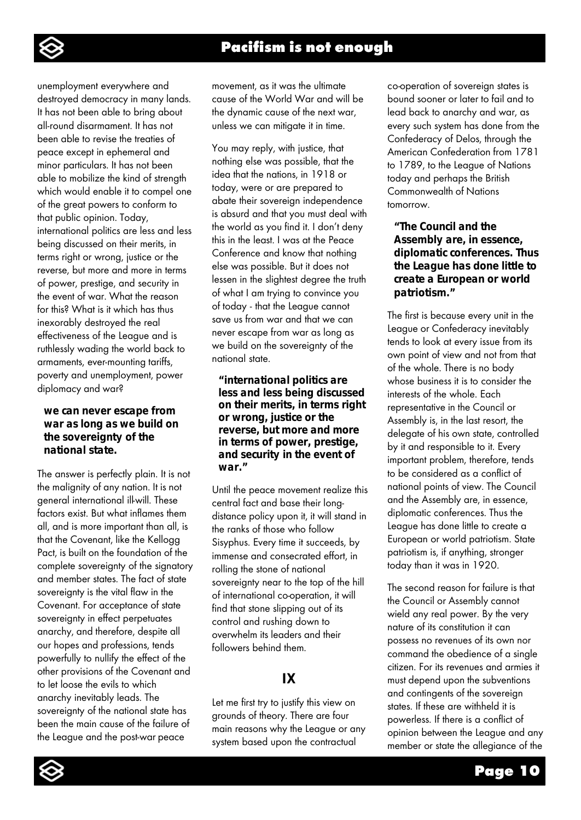

unemployment everywhere and destroyed democracy in many lands. It has not been able to bring about all-round disarmament. It has not been able to revise the treaties of peace except in ephemeral and minor particulars. It has not been able to mobilize the kind of strength which would enable it to compel one of the great powers to conform to that public opinion. Today, international politics are less and less being discussed on their merits, in terms right or wrong, justice or the reverse, but more and more in terms of power, prestige, and security in the event of war. What the reason for this? What is it which has thus inexorably destroyed the real effectiveness of the League and is ruthlessly wading the world back to armaments, ever-mounting tariffs, poverty and unemployment, power diplomacy and war?

#### *we can never escape from war as long as we build on the sovereignty of the national state.*

The answer is perfectly plain. It is not the malignity of any nation. It is not general international ill-will. These factors exist. But what inflames them all, and is more important than all, is that the Covenant, like the Kellogg Pact, is built on the foundation of the complete sovereignty of the signatory and member states. The fact of state sovereignty is the vital flaw in the Covenant. For acceptance of state sovereignty in effect perpetuates anarchy, and therefore, despite all our hopes and professions, tends powerfully to nullify the effect of the other provisions of the Covenant and to let loose the evils to which anarchy inevitably leads. The sovereignty of the national state has been the main cause of the failure of the League and the post-war peace

movement, as it was the ultimate cause of the World War and will be the dynamic cause of the next war, unless we can mitigate it in time.

You may reply, with justice, that nothing else was possible, that the idea that the nations, in 1918 or today, were or are prepared to abate their sovereign independence is absurd and that you must deal with the world as you find it. I don't deny this in the least. I was at the Peace Conference and know that nothing else was possible. But it does not lessen in the slightest degree the truth of what I am trying to convince you of today - that the League cannot save us from war and that we can never escape from war as long as we build on the sovereignty of the national state.

#### *"international politics are less and less being discussed on their merits, in terms right or wrong, justice or the reverse, but more and more in terms of power, prestige, and security in the event of war."*

Until the peace movement realize this central fact and base their longdistance policy upon it, it will stand in the ranks of those who follow Sisyphus. Every time it succeeds, by immense and consecrated effort, in rolling the stone of national sovereignty near to the top of the hill of international co-operation, it will find that stone slipping out of its control and rushing down to overwhelm its leaders and their followers behind them.

## **IX**

Let me first try to justify this view on grounds of theory. There are four main reasons why the League or any system based upon the contractual

co-operation of sovereign states is bound sooner or later to fail and to lead back to anarchy and war, as every such system has done from the Confederacy of Delos, through the American Confederation from 1781 to 1789, to the League of Nations today and perhaps the British Commonwealth of Nations tomorrow.

#### *"The Council and the Assembly are, in essence, diplomatic conferences. Thus the League has done little to create a European or world patriotism."*

The first is because every unit in the League or Confederacy inevitably tends to look at every issue from its own point of view and not from that of the whole. There is no body whose business it is to consider the interests of the whole. Each representative in the Council or Assembly is, in the last resort, the delegate of his own state, controlled by it and responsible to it. Every important problem, therefore, tends to be considered as a conflict of national points of view. The Council and the Assembly are, in essence, diplomatic conferences. Thus the League has done little to create a European or world patriotism. State patriotism is, if anything, stronger today than it was in 1920.

The second reason for failure is that the Council or Assembly cannot wield any real power. By the very nature of its constitution it can possess no revenues of its own nor command the obedience of a single citizen. For its revenues and armies it must depend upon the subventions and contingents of the sovereign states. If these are withheld it is powerless. If there is a conflict of opinion between the League and any member or state the allegiance of the

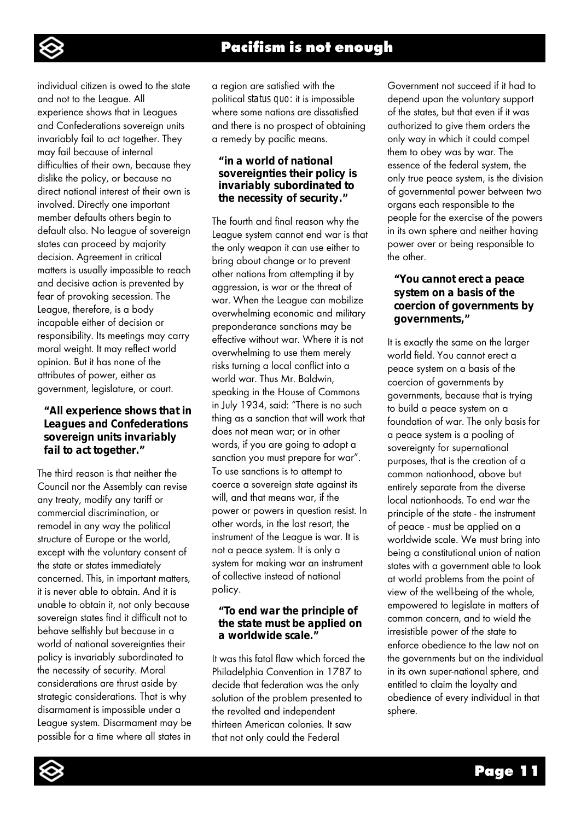

individual citizen is owed to the state and not to the League. All experience shows that in Leagues and Confederations sovereign units invariably fail to act together. They may fail because of internal difficulties of their own, because they dislike the policy, or because no direct national interest of their own is involved. Directly one important member defaults others begin to default also. No league of sovereign states can proceed by majority decision. Agreement in critical matters is usually impossible to reach and decisive action is prevented by fear of provoking secession. The League, therefore, is a body incapable either of decision or responsibility. Its meetings may carry moral weight. It may reflect world opinion. But it has none of the attributes of power, either as government, legislature, or court.

### *"All experience shows that in Leagues and Confederations sovereign units invariably fail to act together."*

The third reason is that neither the Council nor the Assembly can revise any treaty, modify any tariff or commercial discrimination, or remodel in any way the political structure of Europe or the world, except with the voluntary consent of the state or states immediately concerned. This, in important matters, it is never able to obtain. And it is unable to obtain it, not only because sovereign states find it difficult not to behave selfishly but because in a world of national sovereignties their policy is invariably subordinated to the necessity of security. Moral considerations are thrust aside by strategic considerations. That is why disarmament is impossible under a League system. Disarmament may be possible for a time where all states in

a region are satisfied with the political *status quo:* it is impossible where some nations are dissatisfied and there is no prospect of obtaining a remedy by pacific means.

#### *"in a world of national sovereignties their policy is invariably subordinated to the necessity of security."*

The fourth and final reason why the League system cannot end war is that the only weapon it can use either to bring about change or to prevent other nations from attempting it by aggression, is war or the threat of war. When the League can mobilize overwhelming economic and military preponderance sanctions may be effective without war. Where it is not overwhelming to use them merely risks turning a local conflict into a world war. Thus Mr. Baldwin, speaking in the House of Commons in July 1934, said: "There is no such thing as a sanction that will work that does not mean war; or in other words, if you are going to adopt a sanction you must prepare for war". To use sanctions is to attempt to coerce a sovereign state against its will, and that means war, if the power or powers in question resist. In other words, in the last resort, the instrument of the League is war. It is not a peace system. It is only a system for making war an instrument of collective instead of national policy.

#### *"To end war the principle of the state must be applied on a worldwide scale."*

It was this fatal flaw which forced the Philadelphia Convention in 1787 to decide that federation was the only solution of the problem presented to the revolted and independent thirteen American colonies. It saw that not only could the Federal

Government not succeed if it had to depend upon the voluntary support of the states, but that even if it was authorized to give them orders the only way in which it could compel them to obey was by war. The essence of the federal system, the only true peace system, is the division of governmental power between two organs each responsible to the people for the exercise of the powers in its own sphere and neither having power over or being responsible to the other.

### *"You cannot erect a peace system on a basis of the coercion of governments by governments,"*

It is exactly the same on the larger world field. You cannot erect a peace system on a basis of the coercion of governments by governments, because that is trying to build a peace system on a foundation of war. The only basis for a peace system is a pooling of sovereignty for supernational purposes, that is the creation of a common nationhood, above but entirely separate from the diverse local nationhoods. To end war the principle of the state - the instrument of peace - must be applied on a worldwide scale. We must bring into being a constitutional union of nation states with a government able to look at world problems from the point of view of the well-being of the whole, empowered to legislate in matters of common concern, and to wield the irresistible power of the state to enforce obedience to the law not on the governments but on the individual in its own super-national sphere, and entitled to claim the loyalty and obedience of every individual in that sphere.

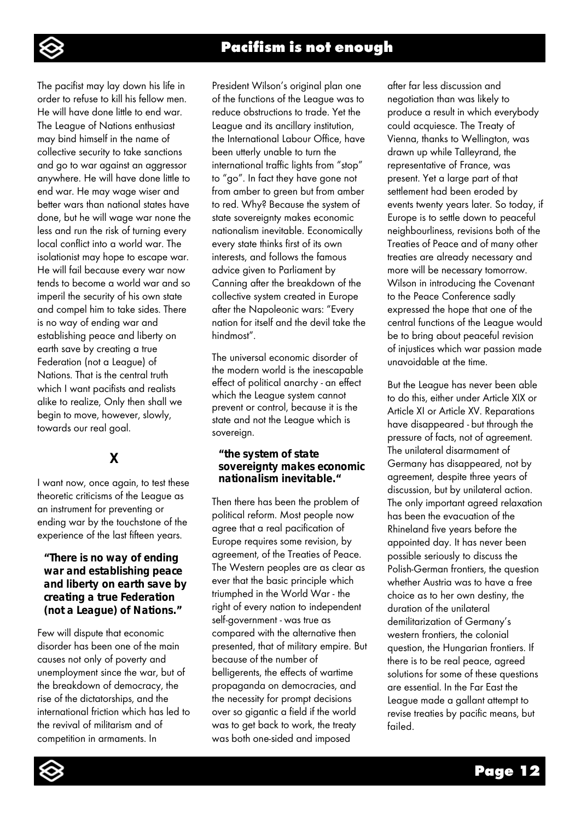

The pacifist may lay down his life in order to refuse to kill his fellow men. He will have done little to end war. The League of Nations enthusiast may bind himself in the name of collective security to take sanctions and go to war against an aggressor anywhere. He will have done little to end war. He may wage wiser and better wars than national states have done, but he will wage war none the less and run the risk of turning every local conflict into a world war. The isolationist may hope to escape war. He will fail because every war now tends to become a world war and so imperil the security of his own state and compel him to take sides. There is no way of ending war and establishing peace and liberty on earth save by creating a true Federation (not a League) of Nations. That is the central truth which I want pacifists and realists alike to realize, Only then shall we begin to move, however, slowly, towards our real goal.

# **X**

I want now, once again, to test these theoretic criticisms of the League as an instrument for preventing or ending war by the touchstone of the experience of the last fifteen years.

#### *"There is no way of ending war and establishing peace and liberty on earth save by creating a true Federation (not a League) of Nations."*

Few will dispute that economic disorder has been one of the main causes not only of poverty and unemployment since the war, but of the breakdown of democracy, the rise of the dictatorships, and the international friction which has led to the revival of militarism and of competition in armaments. In

President Wilson's original plan one of the functions of the League was to reduce obstructions to trade. Yet the League and its ancillary institution, the International Labour Office, have been utterly unable to turn the international traffic lights from "stop" to "go". In fact they have gone not from amber to green but from amber to red. Why? Because the system of state sovereignty makes economic nationalism inevitable. Economically every state thinks first of its own interests, and follows the famous advice given to Parliament by Canning after the breakdown of the collective system created in Europe after the Napoleonic wars: "Every nation for itself and the devil take the hindmost".

The universal economic disorder of the modern world is the inescapable effect of political anarchy - an effect which the League system cannot prevent or control, because it is the state and not the League which is sovereign.

#### *"the system of state sovereignty makes economic nationalism inevitable."*

Then there has been the problem of political reform. Most people now agree that a real pacification of Europe requires some revision, by agreement, of the Treaties of Peace. The Western peoples are as clear as ever that the basic principle which triumphed in the World War - the right of every nation to independent self-government - was true as compared with the alternative then presented, that of military empire. But because of the number of belligerents, the effects of wartime propaganda on democracies, and the necessity for prompt decisions over so gigantic a field if the world was to get back to work, the treaty was both one-sided and imposed

after far less discussion and negotiation than was likely to produce a result in which everybody could acquiesce. The Treaty of Vienna, thanks to Wellington, was drawn up while Talleyrand, the representative of France, was present. Yet a large part of that settlement had been eroded by events twenty years later. So today, if Europe is to settle down to peaceful neighbourliness, revisions both of the Treaties of Peace and of many other treaties are already necessary and more will be necessary tomorrow. Wilson in introducing the Covenant to the Peace Conference sadly expressed the hope that one of the central functions of the League would be to bring about peaceful revision of injustices which war passion made unavoidable at the time.

But the League has never been able to do this, either under Article XIX or Article XI or Article XV. Reparations have disappeared - but through the pressure of facts, not of agreement. The unilateral disarmament of Germany has disappeared, not by agreement, despite three years of discussion, but by unilateral action. The only important agreed relaxation has been the evacuation of the Rhineland five years before the appointed day. It has never been possible seriously to discuss the Polish-German frontiers, the question whether Austria was to have a free choice as to her own destiny, the duration of the unilateral demilitarization of Germany's western frontiers, the colonial question, the Hungarian frontiers. If there is to be real peace, agreed solutions for some of these questions are essential. In the Far East the League made a gallant attempt to revise treaties by pacific means, but failed.

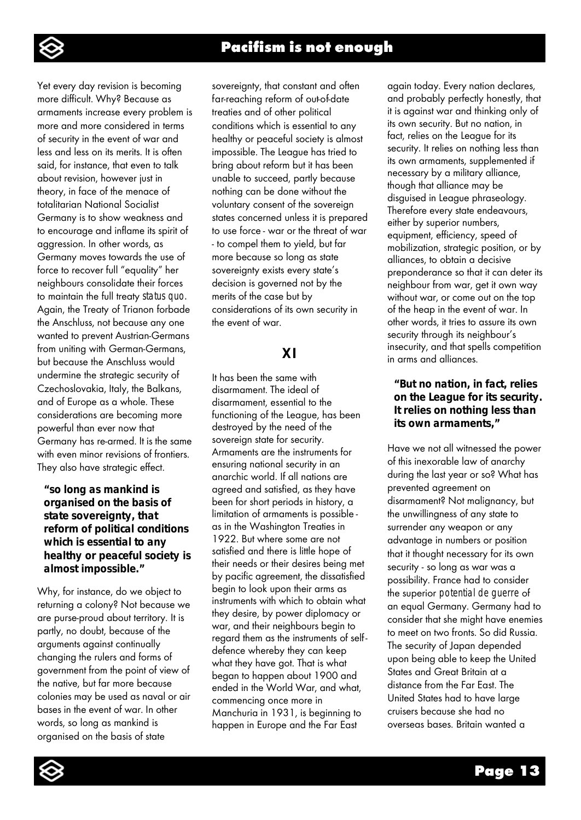

Yet every day revision is becoming more difficult. Why? Because as armaments increase every problem is more and more considered in terms of security in the event of war and less and less on its merits. It is often said, for instance, that even to talk about revision, however just in theory, in face of the menace of totalitarian National Socialist Germany is to show weakness and to encourage and inflame its spirit of aggression. In other words, as Germany moves towards the use of force to recover full "equality" her neighbours consolidate their forces to maintain the full treaty *status quo.*  Again, the Treaty of Trianon forbade the Anschluss, not because any one wanted to prevent Austrian-Germans from uniting with German-Germans, but because the Anschluss would undermine the strategic security of Czechoslovakia, Italy, the Balkans, and of Europe as a whole. These considerations are becoming more powerful than ever now that Germany has re-armed. It is the same with even minor revisions of frontiers. They also have strategic effect.

#### *"so long as mankind is organised on the basis of state sovereignty, that reform of political conditions which is essential to any healthy or peaceful society is almost impossible."*

Why, for instance, do we object to returning a colony? Not because we are purse-proud about territory. It is partly, no doubt, because of the arguments against continually changing the rulers and forms of government from the point of view of the native, but far more because colonies may be used as naval or air bases in the event of war. In other words, so long as mankind is organised on the basis of state

sovereignty, that constant and often far-reaching reform of out-of-date treaties and of other political conditions which is essential to any healthy or peaceful society is almost impossible. The League has tried to bring about reform but it has been unable to succeed, partly because nothing can be done without the voluntary consent of the sovereign states concerned unless it is prepared to use force - war or the threat of war - to compel them to yield, but far more because so long as state sovereignty exists every state's decision is governed not by the merits of the case but by considerations of its own security in the event of war.

# **XI**

It has been the same with disarmament. The ideal of disarmament, essential to the functioning of the League, has been destroyed by the need of the sovereign state for security. Armaments are the instruments for ensuring national security in an anarchic world. If all nations are agreed and satisfied, as they have been for short periods in history, a limitation of armaments is possible as in the Washington Treaties in 1922. But where some are not satisfied and there is little hope of their needs or their desires being met by pacific agreement, the dissatisfied begin to look upon their arms as instruments with which to obtain what they desire, by power diplomacy or war, and their neighbours begin to regard them as the instruments of selfdefence whereby they can keep what they have got. That is what began to happen about 1900 and ended in the World War, and what, commencing once more in Manchuria in 1931, is beginning to happen in Europe and the Far East

again today. Every nation declares, and probably perfectly honestly, that it is against war and thinking only of its own security. But no nation, in fact, relies on the League for its security. It relies on nothing less than its own armaments, supplemented if necessary by a military alliance, though that alliance may be disguised in League phraseology. Therefore every state endeavours, either by superior numbers, equipment, efficiency, speed of mobilization, strategic position, or by alliances, to obtain a decisive preponderance so that it can deter its neighbour from war, get it own way without war, or come out on the top of the heap in the event of war. In other words, it tries to assure its own security through its neighbour's insecurity, and that spells competition in arms and alliances.

### *"But no nation, in fact, relies on the League for its security. It relies on nothing less than its own armaments,"*

Have we not all witnessed the power of this inexorable law of anarchy during the last year or so? What has prevented agreement on disarmament? Not malignancy, but the unwillingness of any state to surrender any weapon or any advantage in numbers or position that it thought necessary for its own security - so long as war was a possibility. France had to consider the superior *potential de guerre* of an equal Germany. Germany had to consider that she might have enemies to meet on two fronts. So did Russia. The security of Japan depended upon being able to keep the United States and Great Britain at a distance from the Far East. The United States had to have large cruisers because she had no overseas bases. Britain wanted a

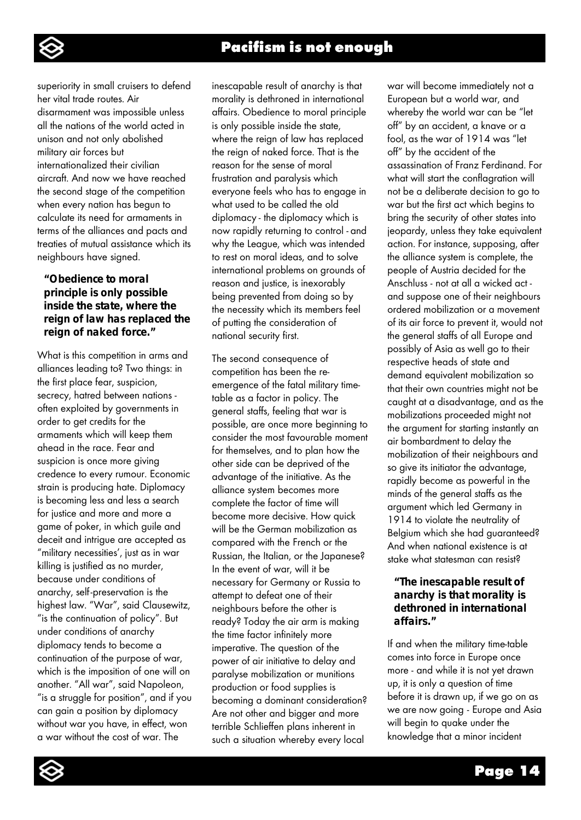

superiority in small cruisers to defend her vital trade routes. Air disarmament was impossible unless all the nations of the world acted in unison and not only abolished military air forces but internationalized their civilian aircraft. And now we have reached the second stage of the competition when every nation has begun to calculate its need for armaments in terms of the alliances and pacts and treaties of mutual assistance which its neighbours have signed.

#### *"Obedience to moral principle is only possible inside the state, where the reign of law has replaced the reign of naked force."*

What is this competition in arms and alliances leading to? Two things: in the first place fear, suspicion, secrecy, hatred between nations often exploited by governments in order to get credits for the armaments which will keep them ahead in the race. Fear and suspicion is once more giving credence to every rumour. Economic strain is producing hate. Diplomacy is becoming less and less a search for justice and more and more a game of poker, in which guile and deceit and intrigue are accepted as "military necessities', just as in war killing is justified as no murder, because under conditions of anarchy, self-preservation is the highest law. "War", said Clausewitz, "is the continuation of policy". But under conditions of anarchy diplomacy tends to become a continuation of the purpose of war, which is the imposition of one will on another. "All war", said Napoleon, "is a struggle for position", and if you can gain a position by diplomacy without war you have, in effect, won a war without the cost of war. The

inescapable result of anarchy is that morality is dethroned in international affairs. Obedience to moral principle is only possible inside the state, where the reign of law has replaced the reign of naked force. That is the reason for the sense of moral frustration and paralysis which everyone feels who has to engage in what used to be called the old diplomacy - the diplomacy which is now rapidly returning to control - and why the League, which was intended to rest on moral ideas, and to solve international problems on grounds of reason and justice, is inexorably being prevented from doing so by the necessity which its members feel of putting the consideration of national security first.

The second consequence of competition has been the reemergence of the fatal military timetable as a factor in policy. The general staffs, feeling that war is possible, are once more beginning to consider the most favourable moment for themselves, and to plan how the other side can be deprived of the advantage of the initiative. As the alliance system becomes more complete the factor of time will become more decisive. How quick will be the German mobilization as compared with the French or the Russian, the Italian, or the Japanese? In the event of war, will it be necessary for Germany or Russia to attempt to defeat one of their neighbours before the other is ready? Today the air arm is making the time factor infinitely more imperative. The question of the power of air initiative to delay and paralyse mobilization or munitions production or food supplies is becoming a dominant consideration? Are not other and bigger and more terrible Schlieffen plans inherent in such a situation whereby every local

war will become immediately not a European but a world war, and whereby the world war can be "let off" by an accident, a knave or a fool, as the war of 1914 was "let off" by the accident of the assassination of Franz Ferdinand. For what will start the conflagration will not be a deliberate decision to go to war but the first act which begins to bring the security of other states into jeopardy, unless they take equivalent action. For instance, supposing, after the alliance system is complete, the people of Austria decided for the Anschluss - not at all a wicked act and suppose one of their neighbours ordered mobilization or a movement of its air force to prevent it, would not the general staffs of all Europe and possibly of Asia as well go to their respective heads of state and demand equivalent mobilization so that their own countries might not be caught at a disadvantage, and as the mobilizations proceeded might not the argument for starting instantly an air bombardment to delay the mobilization of their neighbours and so give its initiator the advantage, rapidly become as powerful in the minds of the general staffs as the argument which led Germany in 1914 to violate the neutrality of Belgium which she had guaranteed? And when national existence is at stake what statesman can resist?

### *"The inescapable result of anarchy is that morality is dethroned in international affairs."*

If and when the military time-table comes into force in Europe once more - and while it is not yet drawn up, it is only a question of time before it is drawn up, if we go on as we are now going - Europe and Asia will begin to quake under the knowledge that a minor incident

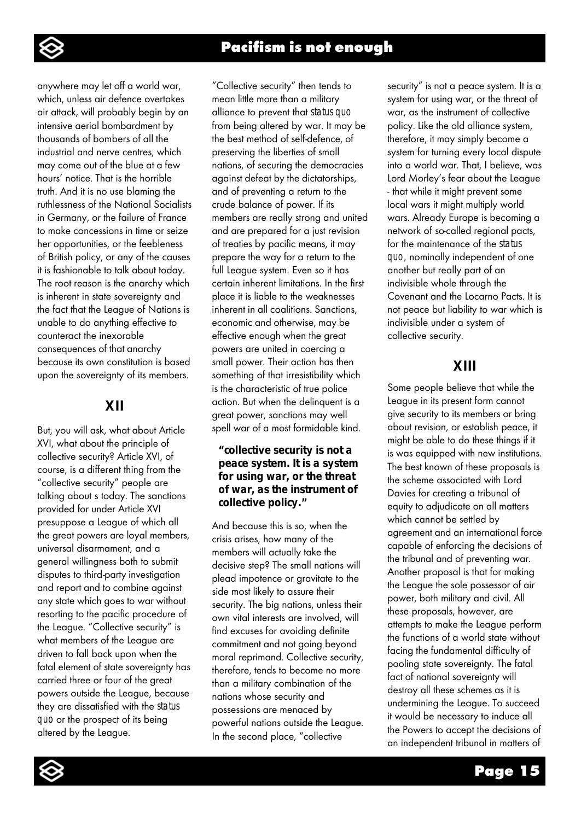

anywhere may let off a world war, which, unless air defence overtakes air attack, will probably begin by an intensive aerial bombardment by thousands of bombers of all the industrial and nerve centres, which may come out of the blue at a few hours' notice. That is the horrible truth. And it is no use blaming the ruthlessness of the National Socialists in Germany, or the failure of France to make concessions in time or seize her opportunities, or the feebleness of British policy, or any of the causes it is fashionable to talk about today. The root reason is the anarchy which is inherent in state sovereignty and the fact that the League of Nations is unable to do anything effective to counteract the inexorable consequences of that anarchy because its own constitution is based upon the sovereignty of its members.

## **XII**

But, you will ask, what about Article XVI, what about the principle of collective security? Article XVI, of course, is a different thing from the "collective security" people are talking about s today. The sanctions provided for under Article XVI presuppose a League of which all the great powers are loyal members, universal disarmament, and a general willingness both to submit disputes to third-party investigation and report and to combine against any state which goes to war without resorting to the pacific procedure of the League. "Collective security" is what members of the League are driven to fall back upon when the fatal element of state sovereignty has carried three or four of the great powers outside the League, because they are dissatisfied with the *status quo* or the prospect of its being altered by the League.

"Collective security" then tends to mean little more than a military alliance to prevent that *status quo*  from being altered by war. It may be the best method of self-defence, of preserving the liberties of small nations, of securing the democracies against defeat by the dictatorships, and of preventing a return to the crude balance of power. If its members are really strong and united and are prepared for a just revision of treaties by pacific means, it may prepare the way for a return to the full League system. Even so it has certain inherent limitations. In the first place it is liable to the weaknesses inherent in all coalitions. Sanctions, economic and otherwise, may be effective enough when the great powers are united in coercing a small power. Their action has then something of that irresistibility which is the characteristic of true police action. But when the delinquent is a great power, sanctions may well spell war of a most formidable kind.

### *"collective security is not a peace system. It is a system for using war, or the threat of war, as the instrument of collective policy."*

And because this is so, when the crisis arises, how many of the members will actually take the decisive step? The small nations will plead impotence or gravitate to the side most likely to assure their security. The big nations, unless their own vital interests are involved, will find excuses for avoiding definite commitment and not going beyond moral reprimand. Collective security, therefore, tends to become no more than a military combination of the nations whose security and possessions are menaced by powerful nations outside the League. In the second place, "collective

security" is not a peace system. It is a system for using war, or the threat of war, as the instrument of collective policy. Like the old alliance system, therefore, it may simply become a system for turning every local dispute into a world war. That, I believe, was Lord Morley's fear about the League - that while it might prevent some local wars it might multiply world wars. Already Europe is becoming a network of so-called regional pacts, for the maintenance of the *status quo,* nominally independent of one another but really part of an indivisible whole through the Covenant and the Locarno Pacts. It is not peace but liability to war which is indivisible under a system of collective security.

# **XIII**

Some people believe that while the League in its present form cannot give security to its members or bring about revision, or establish peace, it might be able to do these things if it is was equipped with new institutions. The best known of these proposals is the scheme associated with Lord Davies for creating a tribunal of equity to adjudicate on all matters which cannot be settled by agreement and an international force capable of enforcing the decisions of the tribunal and of preventing war. Another proposal is that for making the League the sole possessor of air power, both military and civil. All these proposals, however, are attempts to make the League perform the functions of a world state without facing the fundamental difficulty of pooling state sovereignty. The fatal fact of national sovereignty will destroy all these schemes as it is undermining the League. To succeed it would be necessary to induce all the Powers to accept the decisions of an independent tribunal in matters of

Page 15

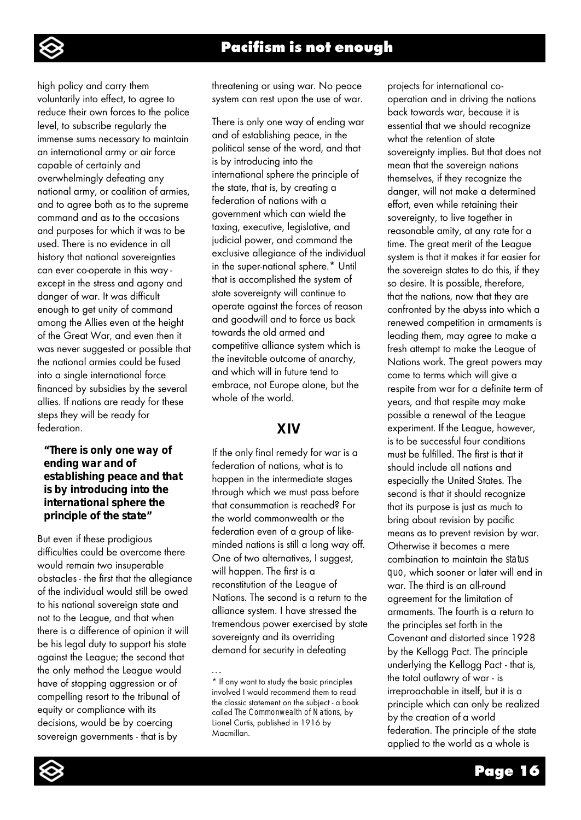

high policy and carry them voluntarily into effect, to agree to reduce their own forces to the police level, to subscribe regularly the immense sums necessary to maintain an international army or air force capable of certainly and overwhelmingly defeating any national army, or coalition of armies, and to agree both as to the supreme command and as to the occasions and purposes for which it was to be used. There is no evidence in all history that national sovereignties can ever co-operate in this way except in the stress and agony and danger of war. It was difficult enough to get unity of command among the Allies even at the height of the Great War, and even then it was never suggested or possible that the national armies could be fused into a single international force financed by subsidies by the several allies. If nations are ready for these steps they will be ready for federation.

#### *"There is only one way of ending war and of establishing peace and that is by introducing into the international sphere the principle of the state"*

But even if these prodigious difficulties could be overcome there would remain two insuperable obstacles - the first that the allegiance of the individual would still be owed to his national sovereign state and not to the League, and that when there is a difference of opinion it will be his legal duty to support his state against the League; the second that the only method the League would have of stopping aggression or of compelling resort to the tribunal of equity or compliance with its decisions, would be by coercing sovereign governments - that is by

threatening or using war. No peace system can rest upon the use of war.

There is only one way of ending war and of establishing peace, in the political sense of the word, and that is by introducing into the international sphere the principle of the state, that is, by creating a federation of nations with a government which can wield the taxing, executive, legislative, and judicial power, and command the exclusive allegiance of the individual in the super-national sphere.\* Until that is accomplished the system of state sovereignty will continue to operate against the forces of reason and goodwill and to force us back towards the old armed and competitive alliance system which is the inevitable outcome of anarchy, and which will in future tend to embrace, not Europe alone, but the whole of the world.

# **XIV**

If the only final remedy for war is a federation of nations, what is to happen in the intermediate stages through which we must pass before that consummation is reached? For the world commonwealth or the federation even of a group of likeminded nations is still a long way off. One of two alternatives, I suggest, will happen. The first is a reconstitution of the League of Nations. The second is a return to the alliance system. I have stressed the tremendous power exercised by state sovereignty and its overriding demand for security in defeating

projects for international cooperation and in driving the nations back towards war, because it is essential that we should recognize what the retention of state sovereignty implies. But that does not mean that the sovereign nations themselves, if they recognize the danger, will not make a determined effort, even while retaining their sovereignty, to live together in reasonable amity, at any rate for a time. The great merit of the League system is that it makes it far easier for the sovereign states to do this, if they so desire. It is possible, therefore, that the nations, now that they are confronted by the abyss into which a renewed competition in armaments is leading them, may agree to make a fresh attempt to make the League of Nations work. The great powers may come to terms which will give a respite from war for a definite term of years, and that respite may make possible a renewal of the League experiment. If the League, however, is to be successful four conditions must be fulfilled. The first is that it should include all nations and especially the United States. The second is that it should recognize that its purpose is just as much to bring about revision by pacific means as to prevent revision by war. Otherwise it becomes a mere combination to maintain the *status quo,* which sooner or later will end in war. The third is an all-round agreement for the limitation of armaments. The fourth is a return to the principles set forth in the Covenant and distorted since 1928 by the Kellogg Pact. The principle underlying the Kellogg Pact - that is, the total outlawry of war - is irreproachable in itself, but it is a principle which can only be realized by the creation of a world federation. The principle of the state applied to the world as a whole is



<sup>-</sup> - - \* If any want to study the basic principles involved I would recommend them to read the classic statement on the subject - a book called *The Commonwealth of Nations,* by Lionel Curtis, published in 1916 by Macmillan.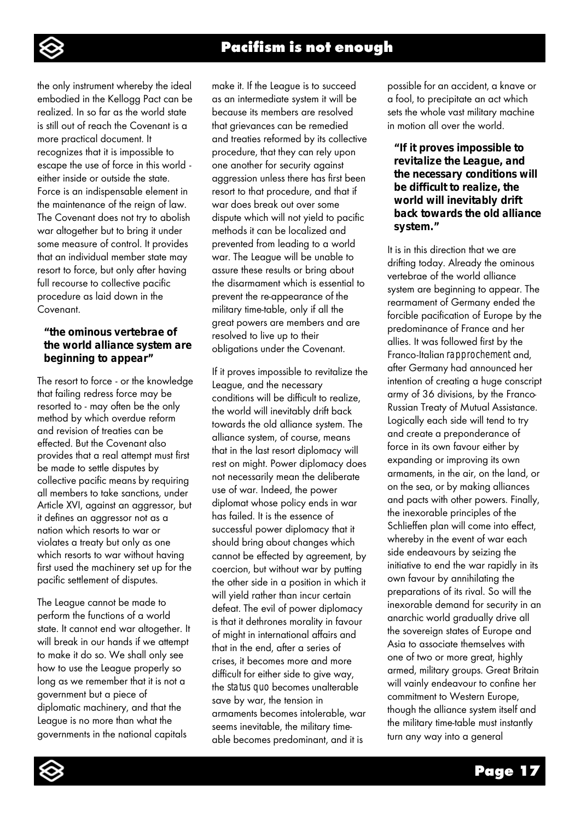

the only instrument whereby the ideal embodied in the Kellogg Pact can be realized. In so far as the world state is still out of reach the Covenant is a more practical document. It recognizes that it is impossible to escape the use of force in this world either inside or outside the state. Force is an indispensable element in the maintenance of the reign of law. The Covenant does not try to abolish war altogether but to bring it under some measure of control. It provides that an individual member state may resort to force, but only after having full recourse to collective pacific procedure as laid down in the Covenant.

#### *"the ominous vertebrae of the world alliance system are beginning to appear"*

The resort to force - or the knowledge that failing redress force may be resorted to - may often be the only method by which overdue reform and revision of treaties can be effected. But the Covenant also provides that a real attempt must first be made to settle disputes by collective pacific means by requiring all members to take sanctions, under Article XVI, against an aggressor, but it defines an aggressor not as a nation which resorts to war or violates a treaty but only as one which resorts to war without having first used the machinery set up for the pacific settlement of disputes.

The League cannot be made to perform the functions of a world state. It cannot end war altogether. It will break in our hands if we attempt to make it do so. We shall only see how to use the League properly so long as we remember that it is not a government but a piece of diplomatic machinery, and that the League is no more than what the governments in the national capitals

make it. If the League is to succeed as an intermediate system it will be because its members are resolved that grievances can be remedied and treaties reformed by its collective procedure, that they can rely upon one another for security against aggression unless there has first been resort to that procedure, and that if war does break out over some dispute which will not yield to pacific methods it can be localized and prevented from leading to a world war. The League will be unable to assure these results or bring about the disarmament which is essential to prevent the re-appearance of the military time-table, only if all the great powers are members and are resolved to live up to their obligations under the Covenant.

If it proves impossible to revitalize the League, and the necessary conditions will be difficult to realize, the world will inevitably drift back towards the old alliance system. The alliance system, of course, means that in the last resort diplomacy will rest on might. Power diplomacy does not necessarily mean the deliberate use of war. Indeed, the power diplomat whose policy ends in war has failed. It is the essence of successful power diplomacy that it should bring about changes which cannot be effected by agreement, by coercion, but without war by putting the other side in a position in which it will yield rather than incur certain defeat. The evil of power diplomacy is that it dethrones morality in favour of might in international affairs and that in the end, after a series of crises, it becomes more and more difficult for either side to give way, the *status quo* becomes unalterable save by war, the tension in armaments becomes intolerable, war seems inevitable, the military timeable becomes predominant, and it is

possible for an accident, a knave or a fool, to precipitate an act which sets the whole vast military machine in motion all over the world.

#### *"If it proves impossible to revitalize the League, and the necessary conditions will be difficult to realize, the world will inevitably drift back towards the old alliance system."*

It is in this direction that we are drifting today. Already the ominous vertebrae of the world alliance system are beginning to appear. The rearmament of Germany ended the forcible pacification of Europe by the predominance of France and her allies. It was followed first by the Franco-Italian *rapprochement* and, after Germany had announced her intention of creating a huge conscript army of 36 divisions, by the Franco-Russian Treaty of Mutual Assistance. Logically each side will tend to try and create a preponderance of force in its own favour either by expanding or improving its own armaments, in the air, on the land, or on the sea, or by making alliances and pacts with other powers. Finally, the inexorable principles of the Schlieffen plan will come into effect, whereby in the event of war each side endeavours by seizing the initiative to end the war rapidly in its own favour by annihilating the preparations of its rival. So will the inexorable demand for security in an anarchic world gradually drive all the sovereign states of Europe and Asia to associate themselves with one of two or more great, highly armed, military groups. Great Britain will vainly endeavour to confine her commitment to Western Europe, though the alliance system itself and the military time-table must instantly turn any way into a general

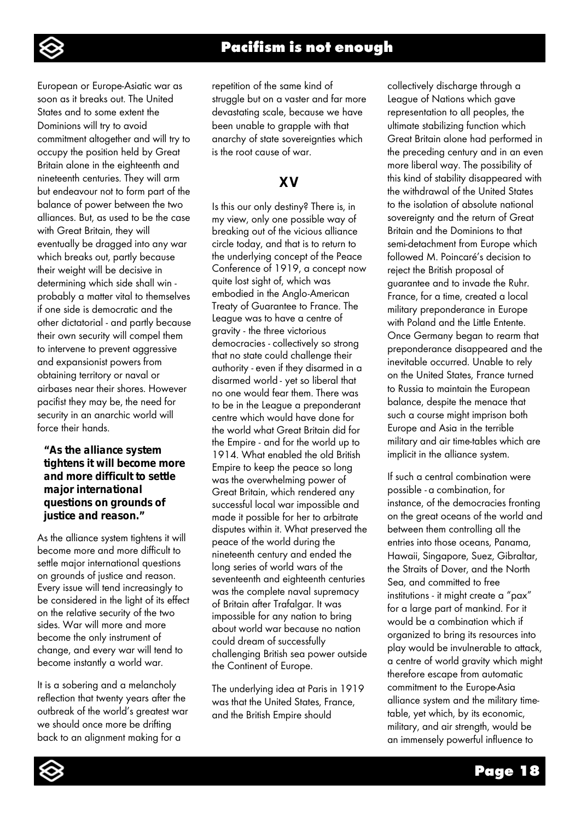

European or Europe-Asiatic war as soon as it breaks out. The United States and to some extent the Dominions will try to avoid commitment altogether and will try to occupy the position held by Great Britain alone in the eighteenth and nineteenth centuries. They will arm but endeavour not to form part of the balance of power between the two alliances. But, as used to be the case with Great Britain, they will eventually be dragged into any war which breaks out, partly because their weight will be decisive in determining which side shall win probably a matter vital to themselves if one side is democratic and the other dictatorial - and partly because their own security will compel them to intervene to prevent aggressive and expansionist powers from obtaining territory or naval or airbases near their shores. However pacifist they may be, the need for security in an anarchic world will force their hands.

#### *"As the alliance system tightens it will become more and more difficult to settle major international questions on grounds of justice and reason."*

As the alliance system tightens it will become more and more difficult to settle major international questions on grounds of justice and reason. Every issue will tend increasingly to be considered in the light of its effect on the relative security of the two sides. War will more and more become the only instrument of change, and every war will tend to become instantly a world war.

It is a sobering and a melancholy reflection that twenty years after the outbreak of the world's greatest war we should once more be drifting back to an alignment making for a

repetition of the same kind of struggle but on a vaster and far more devastating scale, because we have been unable to grapple with that anarchy of state sovereignties which is the root cause of war.

# **XV**

Is this our only destiny? There is, in my view, only one possible way of breaking out of the vicious alliance circle today, and that is to return to the underlying concept of the Peace Conference of 1919, a concept now quite lost sight of, which was embodied in the Anglo-American Treaty of Guarantee to France. The League was to have a centre of gravity - the three victorious democracies - collectively so strong that no state could challenge their authority - even if they disarmed in a disarmed world - yet so liberal that no one would fear them. There was to be in the League a preponderant centre which would have done for the world what Great Britain did for the Empire - and for the world up to 1914. What enabled the old British Empire to keep the peace so long was the overwhelming power of Great Britain, which rendered any successful local war impossible and made it possible for her to arbitrate disputes within it. What preserved the peace of the world during the nineteenth century and ended the long series of world wars of the seventeenth and eighteenth centuries was the complete naval supremacy of Britain after Trafalgar. It was impossible for any nation to bring about world war because no nation could dream of successfully challenging British sea power outside the Continent of Europe.

The underlying idea at Paris in 1919 was that the United States, France, and the British Empire should

collectively discharge through a League of Nations which gave representation to all peoples, the ultimate stabilizing function which Great Britain alone had performed in the preceding century and in an even more liberal way. The possibility of this kind of stability disappeared with the withdrawal of the United States to the isolation of absolute national sovereignty and the return of Great Britain and the Dominions to that semi-detachment from Europe which followed M. Poincaré's decision to reject the British proposal of guarantee and to invade the Ruhr. France, for a time, created a local military preponderance in Europe with Poland and the Little Entente. Once Germany began to rearm that preponderance disappeared and the inevitable occurred. Unable to rely on the United States, France turned to Russia to maintain the European balance, despite the menace that such a course might imprison both Europe and Asia in the terrible military and air time-tables which are implicit in the alliance system.

If such a central combination were possible - a combination, for instance, of the democracies fronting on the great oceans of the world and between them controlling all the entries into those oceans, Panama, Hawaii, Singapore, Suez, Gibraltar, the Straits of Dover, and the North Sea, and committed to free institutions - it might create a "pax" for a large part of mankind. For it would be a combination which if organized to bring its resources into play would be invulnerable to attack, a centre of world gravity which might therefore escape from automatic commitment to the Europe-Asia alliance system and the military timetable, yet which, by its economic, military, and air strength, would be an immensely powerful influence to

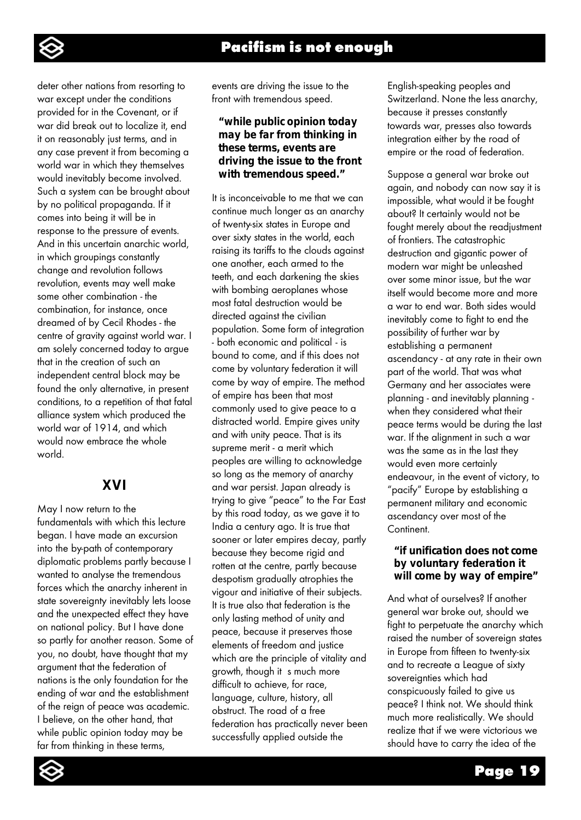deter other nations from resorting to war except under the conditions provided for in the Covenant, or if war did break out to localize it, end it on reasonably just terms, and in any case prevent it from becoming a world war in which they themselves would inevitably become involved. Such a system can be brought about by no political propaganda. If it comes into being it will be in response to the pressure of events. And in this uncertain anarchic world, in which groupings constantly change and revolution follows revolution, events may well make some other combination - the combination, for instance, once dreamed of by Cecil Rhodes - the centre of gravity against world war. I am solely concerned today to argue that in the creation of such an independent central block may be found the only alternative, in present conditions, to a repetition of that fatal alliance system which produced the world war of 1914, and which would now embrace the whole world.

# **XVI**

May I now return to the fundamentals with which this lecture began. I have made an excursion into the by-path of contemporary diplomatic problems partly because I wanted to analyse the tremendous forces which the anarchy inherent in state sovereignty inevitably lets loose and the unexpected effect they have on national policy. But I have done so partly for another reason. Some of you, no doubt, have thought that my argument that the federation of nations is the only foundation for the ending of war and the establishment of the reign of peace was academic. I believe, on the other hand, that while public opinion today may be far from thinking in these terms,

events are driving the issue to the front with tremendous speed.

### *"while public opinion today may be far from thinking in these terms, events are driving the issue to the front with tremendous speed."*

It is inconceivable to me that we can continue much longer as an anarchy of twenty-six states in Europe and over sixty states in the world, each raising its tariffs to the clouds against one another, each armed to the teeth, and each darkening the skies with bombing aeroplanes whose most fatal destruction would be directed against the civilian population. Some form of integration - both economic and political - is bound to come, and if this does not come by voluntary federation it will come by way of empire. The method of empire has been that most commonly used to give peace to a distracted world. Empire gives unity and with unity peace. That is its supreme merit - a merit which peoples are willing to acknowledge so long as the memory of anarchy and war persist. Japan already is trying to give "peace" to the Far East by this road today, as we gave it to India a century ago. It is true that sooner or later empires decay, partly because they become rigid and rotten at the centre, partly because despotism gradually atrophies the vigour and initiative of their subjects. It is true also that federation is the only lasting method of unity and peace, because it preserves those elements of freedom and justice which are the principle of vitality and growth, though it s much more difficult to achieve, for race, language, culture, history, all obstruct. The road of a free federation has practically never been successfully applied outside the

English-speaking peoples and Switzerland. None the less anarchy, because it presses constantly towards war, presses also towards integration either by the road of empire or the road of federation.

Suppose a general war broke out again, and nobody can now say it is impossible, what would it be fought about? It certainly would not be fought merely about the readjustment of frontiers. The catastrophic destruction and gigantic power of modern war might be unleashed over some minor issue, but the war itself would become more and more a war to end war. Both sides would inevitably come to fight to end the possibility of further war by establishing a permanent ascendancy - at any rate in their own part of the world. That was what Germany and her associates were planning - and inevitably planning when they considered what their peace terms would be during the last war. If the alignment in such a war was the same as in the last they would even more certainly endeavour, in the event of victory, to "pacify" Europe by establishing a permanent military and economic ascendancy over most of the **Continent** 

#### *"if unification does not come by voluntary federation it will come by way of empire"*

And what of ourselves? If another general war broke out, should we fight to perpetuate the anarchy which raised the number of sovereign states in Europe from fifteen to twenty-six and to recreate a League of sixty sovereignties which had conspicuously failed to give us peace? I think not. We should think much more realistically. We should realize that if we were victorious we should have to carry the idea of the

Page 19

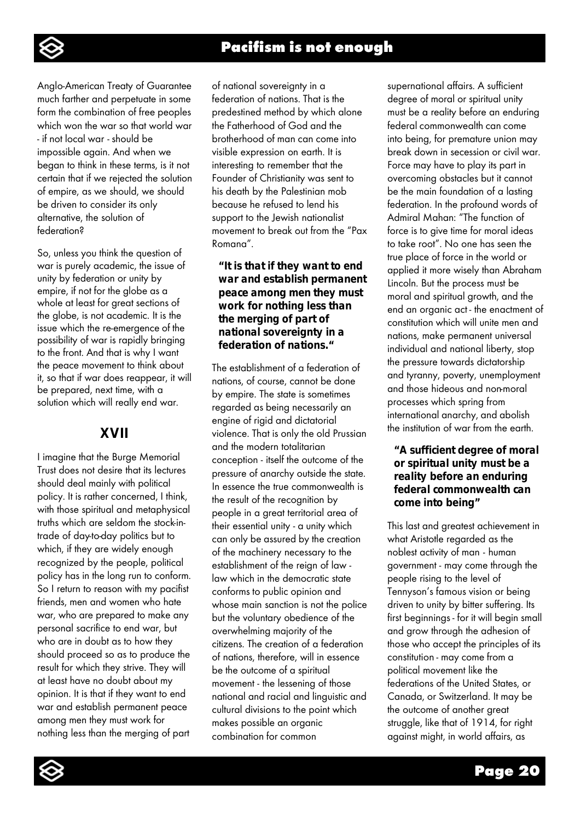

Anglo-American Treaty of Guarantee much farther and perpetuate in some form the combination of free peoples which won the war so that world war - if not local war - should be impossible again. And when we began to think in these terms, is it not certain that if we rejected the solution of empire, as we should, we should be driven to consider its only alternative, the solution of federation?

So, unless you think the question of war is purely academic, the issue of unity by federation or unity by empire, if not for the globe as a whole at least for great sections of the globe, is not academic. It is the issue which the re-emergence of the possibility of war is rapidly bringing to the front. And that is why I want the peace movement to think about it, so that if war does reappear, it will be prepared, next time, with a solution which will really end war.

## **XVII**

I imagine that the Burge Memorial Trust does not desire that its lectures should deal mainly with political policy. It is rather concerned, I think, with those spiritual and metaphysical truths which are seldom the stock-intrade of day-to-day politics but to which, if they are widely enough recognized by the people, political policy has in the long run to conform. So I return to reason with my pacifist friends, men and women who hate war, who are prepared to make any personal sacrifice to end war, but who are in doubt as to how they should proceed so as to produce the result for which they strive. They will at least have no doubt about my opinion. It is that if they want to end war and establish permanent peace among men they must work for nothing less than the merging of part

of national sovereignty in a federation of nations. That is the predestined method by which alone the Fatherhood of God and the brotherhood of man can come into visible expression on earth. It is interesting to remember that the Founder of Christianity was sent to his death by the Palestinian mob because he refused to lend his support to the Jewish nationalist movement to break out from the "Pax Romana".

### *"It is that if they want to end war and establish permanent peace among men they must work for nothing less than the merging of part of national sovereignty in a federation of nations."*

The establishment of a federation of nations, of course, cannot be done by empire. The state is sometimes regarded as being necessarily an engine of rigid and dictatorial violence. That is only the old Prussian and the modern totalitarian conception - itself the outcome of the pressure of anarchy outside the state. In essence the true commonwealth is the result of the recognition by people in a great territorial area of their essential unity - a unity which can only be assured by the creation of the machinery necessary to the establishment of the reign of law law which in the democratic state conforms to public opinion and whose main sanction is not the police but the voluntary obedience of the overwhelming majority of the citizens. The creation of a federation of nations, therefore, will in essence be the outcome of a spiritual movement - the lessening of those national and racial and linguistic and cultural divisions to the point which makes possible an organic combination for common

supernational affairs. A sufficient degree of moral or spiritual unity must be a reality before an enduring federal commonwealth can come into being, for premature union may break down in secession or civil war. Force may have to play its part in overcoming obstacles but it cannot be the main foundation of a lasting federation. In the profound words of Admiral Mahan: "The function of force is to give time for moral ideas to take root". No one has seen the true place of force in the world or applied it more wisely than Abraham Lincoln. But the process must be moral and spiritual growth, and the end an organic act - the enactment of constitution which will unite men and nations, make permanent universal individual and national liberty, stop the pressure towards dictatorship and tyranny, poverty, unemployment and those hideous and non-moral processes which spring from international anarchy, and abolish the institution of war from the earth.

### *"A sufficient degree of moral or spiritual unity must be a reality before an enduring federal commonwealth can come into being"*

This last and greatest achievement in what Aristotle regarded as the noblest activity of man - human government - may come through the people rising to the level of Tennyson's famous vision or being driven to unity by bitter suffering. Its first beginnings - for it will begin small and grow through the adhesion of those who accept the principles of its constitution - may come from a political movement like the federations of the United States, or Canada, or Switzerland. It may be the outcome of another great struggle, like that of 1914, for right against might, in world affairs, as

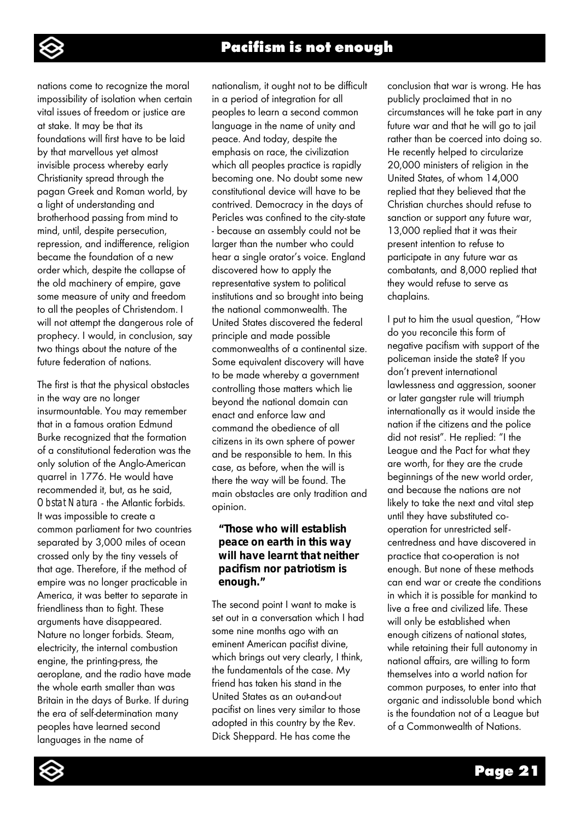

nations come to recognize the moral impossibility of isolation when certain vital issues of freedom or justice are at stake. It may be that its foundations will first have to be laid by that marvellous yet almost invisible process whereby early Christianity spread through the pagan Greek and Roman world, by a light of understanding and brotherhood passing from mind to mind, until, despite persecution, repression, and indifference, religion became the foundation of a new order which, despite the collapse of the old machinery of empire, gave some measure of unity and freedom to all the peoples of Christendom. I will not attempt the dangerous role of prophecy. I would, in conclusion, say two things about the nature of the future federation of nations.

The first is that the physical obstacles in the way are no longer insurmountable. You may remember that in a famous oration Edmund Burke recognized that the formation of a constitutional federation was the only solution of the Anglo-American quarrel in 1776. He would have recommended it, but, as he said, *Obstat Natura* - the Atlantic forbids. It was impossible to create a common parliament for two countries separated by 3,000 miles of ocean crossed only by the tiny vessels of that age. Therefore, if the method of empire was no longer practicable in America, it was better to separate in friendliness than to fight. These arguments have disappeared. Nature no longer forbids. Steam, electricity, the internal combustion engine, the printing-press, the aeroplane, and the radio have made the whole earth smaller than was Britain in the days of Burke. If during the era of self-determination many peoples have learned second languages in the name of

nationalism, it ought not to be difficult in a period of integration for all peoples to learn a second common language in the name of unity and peace. And today, despite the emphasis on race, the civilization which all peoples practice is rapidly becoming one. No doubt some new constitutional device will have to be contrived. Democracy in the days of Pericles was confined to the city-state - because an assembly could not be larger than the number who could hear a single orator's voice. England discovered how to apply the representative system to political institutions and so brought into being the national commonwealth. The United States discovered the federal principle and made possible commonwealths of a continental size. Some equivalent discovery will have to be made whereby a government controlling those matters which lie beyond the national domain can enact and enforce law and command the obedience of all citizens in its own sphere of power and be responsible to hem. In this case, as before, when the will is there the way will be found. The main obstacles are only tradition and opinion.

### *"Those who will establish peace on earth in this way will have learnt that neither pacifism nor patriotism is enough."*

The second point I want to make is set out in a conversation which I had some nine months ago with an eminent American pacifist divine, which brings out very clearly, I think, the fundamentals of the case. My friend has taken his stand in the United States as an out-and-out pacifist on lines very similar to those adopted in this country by the Rev. Dick Sheppard. He has come the

conclusion that war is wrong. He has publicly proclaimed that in no circumstances will he take part in any future war and that he will go to jail rather than be coerced into doing so. He recently helped to circularize 20,000 ministers of religion in the United States, of whom 14,000 replied that they believed that the Christian churches should refuse to sanction or support any future war, 13,000 replied that it was their present intention to refuse to participate in any future war as combatants, and 8,000 replied that they would refuse to serve as chaplains.

I put to him the usual question, "How do you reconcile this form of negative pacifism with support of the policeman inside the state? If you don't prevent international lawlessness and aggression, sooner or later gangster rule will triumph internationally as it would inside the nation if the citizens and the police did not resist". He replied: "I the League and the Pact for what they are worth, for they are the crude beginnings of the new world order, and because the nations are not likely to take the next and vital step until they have substituted cooperation for unrestricted self centredness and have discovered in practice that co-operation is not enough. But none of these methods can end war or create the conditions in which it is possible for mankind to live a free and civilized life. These will only be established when enough citizens of national states, while retaining their full autonomy in national affairs, are willing to form themselves into a world nation for common purposes, to enter into that organic and indissoluble bond which is the foundation not of a League but of a Commonwealth of Nations.